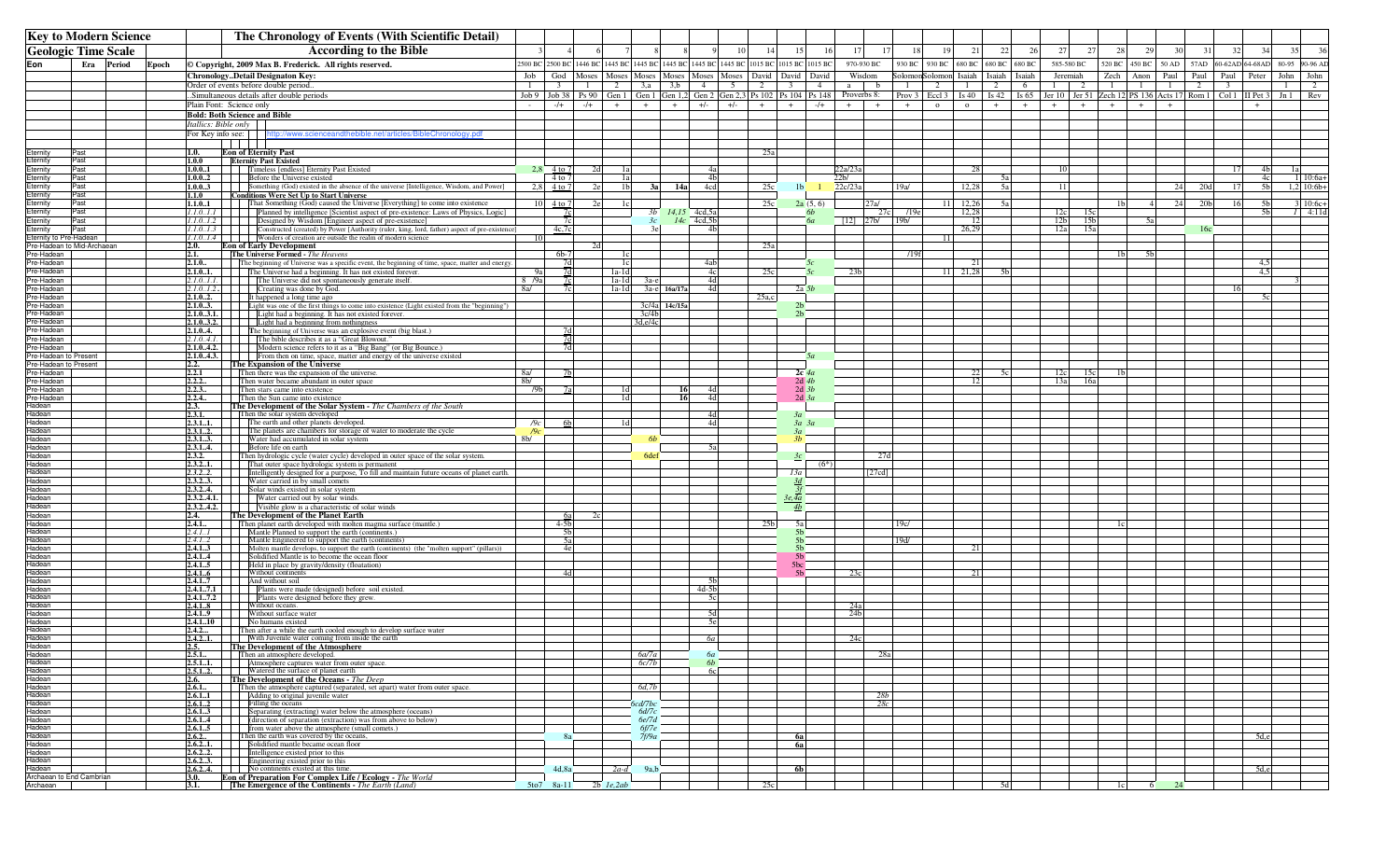| <b>Key to Modern Science</b>       |              |        |       | The Chronology of Events (With Scientific Detail) |                                                                                                                                                                                                                                         |                       |                               |                |                |                  |                   |                               |                |                 |                                                                                           |                  |                           |                        |              |               |                              |     |          |                                                                                                                                        |                |                |              |                 |                         |                      |                   |
|------------------------------------|--------------|--------|-------|---------------------------------------------------|-----------------------------------------------------------------------------------------------------------------------------------------------------------------------------------------------------------------------------------------|-----------------------|-------------------------------|----------------|----------------|------------------|-------------------|-------------------------------|----------------|-----------------|-------------------------------------------------------------------------------------------|------------------|---------------------------|------------------------|--------------|---------------|------------------------------|-----|----------|----------------------------------------------------------------------------------------------------------------------------------------|----------------|----------------|--------------|-----------------|-------------------------|----------------------|-------------------|
| <b>Geologic Time Scale</b>         |              |        |       | <b>According to the Bible</b>                     |                                                                                                                                                                                                                                         |                       |                               |                |                |                  |                   | 10                            | 14             | 15              | 16                                                                                        | 17               | 17                        | 18                     | 19           | 21            | 22                           | 26  | 27<br>27 | 28                                                                                                                                     | 29             | 30             | 31           | 32              | 34                      | 36                   |                   |
| Eon                                | Era          | Period | Epoch |                                                   | © Copyright, 2009 Max B. Frederick. All rights reserved.                                                                                                                                                                                |                       | 2500 BC 2500 BC 1446 BC       |                |                |                  |                   |                               |                |                 | 1445 BC 1445 BC 1445 BC 1445 BC 1445 BC 1015 BC 1015 BC 1015 BC                           |                  | 970-930 BC                |                        |              | 930 BC 930 BC | 680 BC 680 BC                |     | 680 BC   | 585-580 BC                                                                                                                             |                | 520 BC 450 BC  | 50 AD        | 57AD            | 60-62AD 64-68AD         |                      | 80-95<br>90-96 AD |
|                                    |              |        |       |                                                   | ChronologyDetail Designaton Key:                                                                                                                                                                                                        | Job                   | God                           | Moses          |                |                  | Moses Moses Moses |                               |                |                 | Moses   Moses   David   David   David                                                     |                  |                           | Wisdom                 |              |               | SolomonSolomon Isaiah Isaiah |     | Isaiah   | Jeremiah                                                                                                                               | Zech           | Anon           | Paul Paul    |                 | Paul Peter              |                      | John<br>John      |
|                                    |              |        |       |                                                   | Order of events before double period                                                                                                                                                                                                    | $\overline{1}$        | $\overline{\mathbf{3}}$       | $\overline{1}$ | 2              | 3, a             | 3,b               | 4                             | 5 <sup>5</sup> | 2               | $\overline{\mathbf{3}}$                                                                   | $\sim$ 4         | a                         | $\mathbf{b}$           | $\mathbf{1}$ | 2             | $\mathbf{1}$                 | 2   | 6        | $\overline{2}$<br>$\frac{1}{2}$                                                                                                        | $\mathbf{1}$   | $\mathbf{1}$   | $\mathbf{1}$ | 2               | $\overline{\mathbf{3}}$ |                      | 2<br>-1           |
|                                    |              |        |       | Plain Font: Science only                          | .Simultaneous details after double periods                                                                                                                                                                                              | $\sim$                | $Job 9$ Job 38 Ps 90<br>$-/+$ | $-/+$          | $+$            | $+$              | $+$               | $+/-$                         | $+/-$          | $+$             | Gen 1   Gen 1   Gen 1,2   Gen 2   Gen 2,3   Ps 102   Ps 104   Ps 148   Proverbs 8:<br>$+$ | $-/+$            | $+$                       | $+$                    | $+$          | $\Omega$      | $\circ$                      | $+$ | $+$      | Prov 3   Eccl 3   Is 40   Is 42   Is 65   Jer 10   Jer 51   Zech 12   PS 136   Acts 17   Rom 1   Col 1   II Pet 3   Jn 1<br>$+$<br>$+$ | $+$            | $+$            | $+$          |                 |                         | $+$                  | Rev               |
|                                    |              |        |       | <b>Bold: Both Science and Bible</b>               |                                                                                                                                                                                                                                         |                       |                               |                |                |                  |                   |                               |                |                 |                                                                                           |                  |                           |                        |              |               |                              |     |          |                                                                                                                                        |                |                |              |                 |                         |                      |                   |
|                                    |              |        |       | Itallics: Bible only                              |                                                                                                                                                                                                                                         |                       |                               |                |                |                  |                   |                               |                |                 |                                                                                           |                  |                           |                        |              |               |                              |     |          |                                                                                                                                        |                |                |              |                 |                         |                      |                   |
|                                    |              |        |       | For Key info see:                                 | http://www.scienceandthebible.net/articles/BibleChronology.pdf                                                                                                                                                                          |                       |                               |                |                |                  |                   |                               |                |                 |                                                                                           |                  |                           |                        |              |               |                              |     |          |                                                                                                                                        |                |                |              |                 |                         |                      |                   |
| Eternity                           | Past         |        |       | 1.0.                                              | <b>Eon of Eternity Past</b>                                                                                                                                                                                                             |                       |                               |                |                |                  |                   |                               |                | <u>25a</u>      |                                                                                           |                  |                           |                        |              |               |                              |     |          |                                                                                                                                        |                |                |              |                 |                         |                      |                   |
| ternity                            | Past         |        |       | 1.0.0                                             | <b>Eternity Past Existed</b>                                                                                                                                                                                                            |                       |                               |                |                |                  |                   |                               |                |                 |                                                                                           |                  |                           |                        |              |               |                              |     |          |                                                                                                                                        |                |                |              |                 |                         |                      |                   |
| ternity<br>Eternity                | Past<br>Past |        |       | 1.0.01<br>1.0.02                                  | Timeless [endless] Eternity Past Existed<br>Before the Universe existed                                                                                                                                                                 |                       | 2.8 $4 to 7$<br>4 to 7        |                | 1a<br>1a       |                  |                   | 4a<br>4 <sub>h</sub>          |                |                 |                                                                                           |                  | 22a/23c<br>2 <sub>b</sub> |                        |              |               | 28                           |     |          | 10                                                                                                                                     |                |                |              |                 | 17                      | 4 <sub>b</sub><br>4c | $10:6a+$          |
| Eternity                           | Past         |        |       | 1.0.03                                            | Something (God) existed in the absence of the universe [Intelligence, Wisdom, and Power]                                                                                                                                                |                       | $2,8$ 4 to 7                  |                | 1 <sub>b</sub> |                  | 3a 14a            | 4cd                           |                | 25c             | 1 <sub>b</sub>                                                                            |                  | 22c/23a                   |                        | 19a/         |               | 12,28                        | 5а  |          | <sup>11</sup>                                                                                                                          |                |                | 24           | 20d             | 17                      | 5 <sub>b</sub>       | $1,2$ 10:6b+      |
| Eternity                           | Past<br>Past |        |       | 1.1.0<br>1.1.01                                   | <b>Conditions Were Set Up to Start Universe</b><br>That Something (God) caused the Universe [Everything] to come into existence                                                                                                         |                       | 10 4 to 7                     |                | 1 <sub>c</sub> |                  |                   |                               |                | 25c             |                                                                                           | 2a(5, 6)         |                           | 27a/                   |              | 11            | 12,26                        | 5a  |          |                                                                                                                                        | 1 <sub>b</sub> | $\overline{4}$ | 24           | 20 <sub>b</sub> | 16                      | 5 <sub>b</sub>       | $3 10:6c+$        |
| Eternity<br>Eternity               | Past         |        |       |                                                   | 1.1.01.1             Planned by intelligence [Scientist aspect of pre-existence: Laws of Physics, Logic]                                                                                                                                |                       | 7c                            |                |                |                  |                   | $3b$ $14,15$ $4cd,5a$         |                |                 |                                                                                           | <i><b>6b</b></i> |                           | 27c                    | /19e         |               | 12,28                        |     |          | 12c<br>15с                                                                                                                             |                |                |              |                 |                         | 5 <sub>b</sub>       | $1 - 4:11d$       |
| Eternity                           | Past         |        |       | 1.1.01.2                                          | <b>I</b> Designed by Wisdom [Engineer aspect of pre-existence]                                                                                                                                                                          |                       | 7c                            |                |                | 3c               |                   | $14c$ 4cd, 5b                 |                |                 |                                                                                           | 6a               |                           | $[12]$ $ 27b/$ $ 19b/$ |              |               | - 12                         |     |          | 12 <sub>b</sub><br>15 <sub>b</sub>                                                                                                     |                | 5a             |              |                 |                         |                      |                   |
| Eternity<br>Eternity to Pre-Hadean | Past         |        |       |                                                   | 1.1.0.1.3       Constructed (created) by Power [Authority (ruler, king, lord, father) aspect of pre-existence]<br>1.1.0.1.4                 Wonders of creation are outside the realm of modern science                                 |                       | 4c,7c                         |                |                | 3e               |                   | 4 <sub>b</sub>                |                |                 |                                                                                           |                  |                           |                        |              |               | 26,29                        |     |          | 12a<br>15a                                                                                                                             |                |                |              | 16c             |                         |                      |                   |
| Pre-Hadean to Mid-Archaean         |              |        |       | 2.0.                                              | <b>Eon of Early Development</b>                                                                                                                                                                                                         |                       |                               |                |                |                  |                   |                               |                | 25a             |                                                                                           |                  |                           |                        |              |               |                              |     |          |                                                                                                                                        |                |                |              |                 |                         |                      |                   |
| re-Hadean<br>'re-Hadean            |              |        |       | 2.1.<br>2.1.0                                     | The Universe Formed - The Heavens<br>The beginning of Universe was a specific event, the beginning of time, space, matter and energy.                                                                                                   |                       | $6b-7$<br>7d                  |                | 1c<br>1c       |                  |                   | 4ab                           |                |                 |                                                                                           | 5c               |                           |                        | /19f         |               |                              |     |          |                                                                                                                                        | 1 <sub>b</sub> | 5 <sub>b</sub> |              |                 |                         | 45                   |                   |
| re-Hadean                          |              |        |       | 2.1.01.                                           | The Universe had a beginning. It has not existed forever.                                                                                                                                                                               | 9a                    | 7d                            |                | $1a-1d$        |                  |                   | 4c                            |                | 25c             |                                                                                           | 5c               | 23 <sub>b</sub>           |                        |              |               | 11 21.28                     |     |          |                                                                                                                                        |                |                |              |                 |                         | 4.5                  |                   |
| re-Hadean                          |              |        |       |                                                   | 2.1.0.1.1. The Universe did not spontaneously generate itself.<br>2.1.0.1.2. Creating was done by God.                                                                                                                                  | 8 /9a                 | 7c                            |                | $1a-1d$        | За-е             |                   | 4d                            |                |                 |                                                                                           |                  |                           |                        |              |               |                              |     |          |                                                                                                                                        |                |                |              |                 |                         |                      |                   |
| re-Hadean<br>re-Hadean             |              |        |       |                                                   | $\boxed{2.1.02.}$ It happened a long time ago                                                                                                                                                                                           | 8a/                   |                               |                | $1a-1d$        |                  | 3a-e 16a/17a      | 4d                            |                | $25a$ ,c        |                                                                                           | 2a 5b            |                           |                        |              |               |                              |     |          |                                                                                                                                        |                |                |              |                 | 16                      |                      |                   |
| 're-Hadean                         |              |        |       |                                                   | <b>2.1.03.</b> Light was one of the first things to come into existence (Light existed from the "beginning")<br>2.1.03.1. [Light had a beginning. It has not existed forever.                                                           |                       |                               |                |                |                  | 3c/4a 14c/15a     |                               |                |                 | 2 <sub>b</sub>                                                                            |                  |                           |                        |              |               |                              |     |          |                                                                                                                                        |                |                |              |                 |                         |                      |                   |
| re-Hadean<br>re-Hadean             |              |        |       |                                                   |                                                                                                                                                                                                                                         |                       |                               |                |                | 3c/4h<br>3d,e/4c |                   |                               |                |                 | 2 <sub>h</sub>                                                                            |                  |                           |                        |              |               |                              |     |          |                                                                                                                                        |                |                |              |                 |                         |                      |                   |
| re-Hadean                          |              |        |       |                                                   | <b>2.1.0.4.</b> The beginning of Universe was an explosive event (big blast.)                                                                                                                                                           |                       | 7d                            |                |                |                  |                   |                               |                |                 |                                                                                           |                  |                           |                        |              |               |                              |     |          |                                                                                                                                        |                |                |              |                 |                         |                      |                   |
| re-Hadean                          |              |        |       |                                                   | 2.1.04.1. The bible describes it as a "Great Blowout."                                                                                                                                                                                  |                       | 7d                            |                |                |                  |                   |                               |                |                 |                                                                                           |                  |                           |                        |              |               |                              |     |          |                                                                                                                                        |                |                |              |                 |                         |                      |                   |
| re-Hadean<br>re-Hadean to Present  |              |        |       | 2.1.04.2.                                         | Modern science refers to it as a "Big Bang" (or Big Bounce.)<br>2.1.0.4.3. From then on time, space, matter and energy of the universe existed                                                                                          |                       | 7d                            |                |                |                  |                   |                               |                |                 |                                                                                           | 50               |                           |                        |              |               |                              |     |          |                                                                                                                                        |                |                |              |                 |                         |                      |                   |
| re-Hadean to Present               |              |        |       | $\frac{2.2}{2.2.1}$                               | The Expansion of the Universe                                                                                                                                                                                                           |                       |                               |                |                |                  |                   |                               |                |                 |                                                                                           |                  |                           |                        |              |               |                              |     |          |                                                                                                                                        |                |                |              |                 |                         |                      |                   |
| re-Hadean<br>'re-Hadean            |              |        |       | 2.2.2                                             | Then there was the expansion of the universe.<br>Then water became abundant in outer space                                                                                                                                              | 8a/<br>8 <sub>b</sub> | 7 <sub>h</sub>                |                |                |                  |                   |                               |                |                 | $2c$ 4a<br>$2d$ 4b                                                                        |                  |                           |                        |              |               | 22<br>12                     | 5c  |          | 12c<br>15c<br>13a<br>16a                                                                                                               | 1 <sub>b</sub> |                |              |                 |                         |                      |                   |
| 're-Hadean                         |              |        |       | 2.2.3                                             | Then stars came into existence                                                                                                                                                                                                          | /9 <sub>b</sub>       | 7 <sub>2</sub>                |                | 1 <sub>d</sub> |                  |                   | 4d                            |                |                 |                                                                                           | $2d$ $3b$        |                           |                        |              |               |                              |     |          |                                                                                                                                        |                |                |              |                 |                         |                      |                   |
| 're-Hadean<br>ładean               |              |        |       | $\frac{2.2.4}{2.3}$<br>2.3.1.                     | Then the Sun came into existence                                                                                                                                                                                                        |                       |                               |                | 1 <sub>d</sub> |                  |                   | 4d                            |                |                 | $2d$ $3a$                                                                                 |                  |                           |                        |              |               |                              |     |          |                                                                                                                                        |                |                |              |                 |                         |                      |                   |
| Hadean                             |              |        |       |                                                   | The Development of the Solar System - The Chambers of the South<br>Then the solar system developed                                                                                                                                      |                       |                               |                |                |                  |                   | 4d                            |                |                 | 3a                                                                                        |                  |                           |                        |              |               |                              |     |          |                                                                                                                                        |                |                |              |                 |                         |                      |                   |
| ładean                             |              |        |       |                                                   | <b>2.3.1.1.</b> The earth and other planets developed.                                                                                                                                                                                  | /9c                   | 6 <sub>b</sub>                |                | 1 <sub>d</sub> |                  |                   | 4d                            |                |                 | $3a$ $3a$                                                                                 |                  |                           |                        |              |               |                              |     |          |                                                                                                                                        |                |                |              |                 |                         |                      |                   |
| ładean<br>Hadean                   |              |        |       |                                                   | <b>2.3.11.</b> The planets are channels developed.<br><b>2.3.12.</b> The planets are channels for storage of water to moderate the cycle<br><b>2.3.13.</b> Water had accumulated in solar system<br><b>2.3.14.</b> Before life on earth | 19c<br>8 <sub>b</sub> |                               |                |                | 6h               |                   |                               |                |                 | 3a<br>зh                                                                                  |                  |                           |                        |              |               |                              |     |          |                                                                                                                                        |                |                |              |                 |                         |                      |                   |
| Hadean                             |              |        |       |                                                   |                                                                                                                                                                                                                                         |                       |                               |                |                |                  |                   | 5а                            |                |                 |                                                                                           |                  |                           |                        |              |               |                              |     |          |                                                                                                                                        |                |                |              |                 |                         |                      |                   |
| Hadean<br>Hadean                   |              |        |       |                                                   | 2.3.2. Then hydrologic cycle (water cycle) developed in outer space of the solar system.                                                                                                                                                |                       |                               |                |                |                  |                   |                               |                |                 |                                                                                           | $(6*)$           |                           | 27 <sub>d</sub>        |              |               |                              |     |          |                                                                                                                                        |                |                |              |                 |                         |                      |                   |
| Hadean                             |              |        |       |                                                   | <b>2.3.2.1.</b> That outer space hydrologic system is permanent<br>2.3.2.1. Intelligently designed for a purpose, To fill and maintain future oceans of planet earth.                                                                   |                       |                               |                |                |                  |                   |                               |                |                 | 13a                                                                                       |                  |                           | [27cd]                 |              |               |                              |     |          |                                                                                                                                        |                |                |              |                 |                         |                      |                   |
| Hadean<br>ładean                   |              |        |       |                                                   | 2.3.23. Water carried in by small comets<br>2.3.2.4. Solar winds existed in solar system                                                                                                                                                |                       |                               |                |                |                  |                   |                               |                |                 | 3a                                                                                        |                  |                           |                        |              |               |                              |     |          |                                                                                                                                        |                |                |              |                 |                         |                      |                   |
| ładean                             |              |        |       |                                                   | 2.3.24.1.         Water carried out by solar winds                                                                                                                                                                                      |                       |                               |                |                |                  |                   |                               |                |                 | 3е.4а                                                                                     |                  |                           |                        |              |               |                              |     |          |                                                                                                                                        |                |                |              |                 |                         |                      |                   |
| Hadean<br>Hadean                   |              |        |       | 2.3.24.2.                                         | Visible glow is a characteristic of solar winds                                                                                                                                                                                         |                       |                               |                |                |                  |                   |                               |                |                 | 4b                                                                                        |                  |                           |                        |              |               |                              |     |          |                                                                                                                                        |                |                |              |                 |                         |                      |                   |
| Hadean                             |              |        |       | 2.4.<br>2.4.1                                     | The Development of the Planet Earth<br>Then planet earth developed with molten magma surface (mantle.)                                                                                                                                  |                       | 6a<br>$4-5b$                  |                |                |                  |                   |                               |                | 25 <sub>b</sub> | 5a                                                                                        |                  |                           |                        | 19c/         |               |                              |     |          |                                                                                                                                        | 1c             |                |              |                 |                         |                      |                   |
| Hadean                             |              |        |       |                                                   | 2.4.11           Mantle Planned to support the earth (continents.)                                                                                                                                                                      |                       | 5 <sub>b</sub>                |                |                |                  |                   |                               |                |                 | 5b                                                                                        |                  |                           |                        |              |               |                              |     |          |                                                                                                                                        |                |                |              |                 |                         |                      |                   |
| ładean<br>Hadean                   |              |        |       |                                                   | 2.4.1.2 Mantle Engineered to support the earth (continents)                                                                                                                                                                             |                       | 5a<br>4e                      |                |                |                  |                   |                               |                |                 | ٢h<br>5h                                                                                  |                  |                           |                        | 19d/         |               |                              |     |          |                                                                                                                                        |                |                |              |                 |                         |                      |                   |
| Hadean                             |              |        |       |                                                   |                                                                                                                                                                                                                                         |                       |                               |                |                |                  |                   |                               |                |                 | 5 <sub>h</sub>                                                                            |                  |                           |                        |              |               |                              |     |          |                                                                                                                                        |                |                |              |                 |                         |                      |                   |
| ladean<br>ładean                   |              |        |       |                                                   |                                                                                                                                                                                                                                         |                       | 4dl                           |                |                |                  |                   |                               |                |                 | 5 <sub>bc</sub>                                                                           |                  | 23c                       |                        |              |               |                              |     |          |                                                                                                                                        |                |                |              |                 |                         |                      |                   |
| ladean                             |              |        |       |                                                   | 2.4.13 Molten mantle develops, to support the earth (continents) (the "molten support" (pillars))<br>2.4.13 Molten mantle develops, to support the earth (continents) (the "molten support" (pillars))<br>2.4.15 Feld in pl             |                       |                               |                |                |                  |                   |                               |                |                 |                                                                                           |                  |                           |                        |              |               |                              |     |          |                                                                                                                                        |                |                |              |                 |                         |                      |                   |
| Hadean<br>Hadean                   |              |        |       |                                                   |                                                                                                                                                                                                                                         |                       |                               |                |                |                  |                   | $\frac{3}{4d-5h}$<br>5c       |                |                 |                                                                                           |                  |                           |                        |              |               |                              |     |          |                                                                                                                                        |                |                |              |                 |                         |                      |                   |
| Hadean                             |              |        |       |                                                   |                                                                                                                                                                                                                                         |                       |                               |                |                |                  |                   |                               |                |                 |                                                                                           |                  | 24a                       |                        |              |               |                              |     |          |                                                                                                                                        |                |                |              |                 |                         |                      |                   |
| ladean<br>Hadean                   |              |        |       |                                                   | $2.4.110$ No humans existed                                                                                                                                                                                                             |                       |                               |                |                |                  |                   | 5d<br>5e                      |                |                 |                                                                                           |                  | $\frac{1}{24h}$           |                        |              |               |                              |     |          |                                                                                                                                        |                |                |              |                 |                         |                      |                   |
| Hadean                             |              |        |       |                                                   | <b>2.4.2</b> Then after a while the earth cooled enough to develop surface water                                                                                                                                                        |                       |                               |                |                |                  |                   |                               |                |                 |                                                                                           |                  |                           |                        |              |               |                              |     |          |                                                                                                                                        |                |                |              |                 |                         |                      |                   |
| ładean<br>Hadean                   |              |        |       | 2.5.                                              | <b>2.4.2.1.</b> With Juvenile water coming from inside the earth<br>The Development of the Atmosphere                                                                                                                                   |                       |                               |                |                |                  |                   | 6a                            |                |                 |                                                                                           |                  | 24c                       |                        |              |               |                              |     |          |                                                                                                                                        |                |                |              |                 |                         |                      |                   |
| Hadean                             |              |        |       |                                                   | Then an atmosphere developed.                                                                                                                                                                                                           |                       |                               |                |                |                  |                   | bа                            |                |                 |                                                                                           |                  |                           |                        |              |               |                              |     |          |                                                                                                                                        |                |                |              |                 |                         |                      |                   |
| Hadean<br>Hadean                   |              |        |       |                                                   | 2.5.1.1. Atmosphere captures water from outer space.                                                                                                                                                                                    |                       |                               |                |                | 6c/7b            |                   | 6 <i>b</i><br>6c <sub>1</sub> |                |                 |                                                                                           |                  |                           |                        |              |               |                              |     |          |                                                                                                                                        |                |                |              |                 |                         |                      |                   |
| Hadean                             |              |        |       |                                                   | 2.5.12.                 Watered the surface of planet earth<br><b>2.6.</b> The Development of the Oceans - The Deep                                                                                                                     |                       |                               |                |                |                  |                   |                               |                |                 |                                                                                           |                  |                           |                        |              |               |                              |     |          |                                                                                                                                        |                |                |              |                 |                         |                      |                   |
| Hadean                             |              |        |       |                                                   | <b>2.6.1</b> Then the atmosphere captured (separated, set apart) water from outer space.                                                                                                                                                |                       |                               |                |                | 6d,7b            |                   |                               |                |                 |                                                                                           |                  |                           |                        |              |               |                              |     |          |                                                                                                                                        |                |                |              |                 |                         |                      |                   |
| Hadean<br>Hadean                   |              |        |       |                                                   | <b>2.6.11</b>           Adding to original juvenile water                                                                                                                                                                               |                       |                               |                |                | 6cd/7bc          |                   |                               |                |                 |                                                                                           |                  |                           | 28b<br>28c             |              |               |                              |     |          |                                                                                                                                        |                |                |              |                 |                         |                      |                   |
| Hadean                             |              |        |       |                                                   | <b>2.6.13</b> Separating (extracting) water below the atmosphere (oceans)                                                                                                                                                               |                       |                               |                |                | 6d/7c            |                   |                               |                |                 |                                                                                           |                  |                           |                        |              |               |                              |     |          |                                                                                                                                        |                |                |              |                 |                         |                      |                   |
| Hadean<br>Hadean                   |              |        |       |                                                   | <b>2.6.1.4</b> (direction of separation (extraction) was from above to below)<br><b>2.6.1.5</b> [ [ ] [ from water above the atmosphere (small comets.)                                                                                 |                       |                               |                |                | 6e/7d<br>6f/7e   |                   |                               |                |                 |                                                                                           |                  |                           |                        |              |               |                              |     |          |                                                                                                                                        |                |                |              |                 |                         |                      |                   |
| Hadean                             |              |        |       |                                                   | 2.6.2. Then the earth was covered by the oceans,                                                                                                                                                                                        |                       |                               |                |                | 7f/9a            |                   |                               |                |                 | 6a                                                                                        |                  |                           |                        |              |               |                              |     |          |                                                                                                                                        |                |                |              |                 |                         | 5d.e                 |                   |
| Hadean<br>Hadean                   |              |        |       |                                                   | <b>2.6.2.1.</b> Solidified mantle became ocean floor<br><b>2.6.22.</b> Intelligence existed prior to this<br><b>2.6.23.</b> Engineering existed prior to this<br><b>2.6.24.</b> No continents existed at this time.                     |                       |                               |                |                |                  |                   |                               |                |                 | 6a                                                                                        |                  |                           |                        |              |               |                              |     |          |                                                                                                                                        |                |                |              |                 |                         |                      |                   |
| Hadean                             |              |        |       |                                                   |                                                                                                                                                                                                                                         |                       |                               |                |                |                  |                   |                               |                |                 |                                                                                           |                  |                           |                        |              |               |                              |     |          |                                                                                                                                        |                |                |              |                 |                         |                      |                   |
| Hadean<br>Archaean to End Cambrian |              |        |       | <b>3.0.</b>                                       | <b>Eon of Preparation For Complex Life / Ecology</b> - The World                                                                                                                                                                        |                       | 4d, 8a                        |                | $2a-d$         | 9a,b             |                   |                               |                |                 | 6b                                                                                        |                  |                           |                        |              |               |                              |     |          |                                                                                                                                        |                |                |              |                 |                         | 5d,e                 |                   |
| Archaean                           |              |        |       | 3.1.                                              | <b>The Emergence of the Continents</b> - The Earth (Land)                                                                                                                                                                               |                       | 5to7 8a-11                    |                | $2b$ $1e, 2ab$ |                  |                   |                               |                | 25c             |                                                                                           |                  |                           |                        |              |               |                              |     |          |                                                                                                                                        | -lel           |                |              |                 |                         |                      |                   |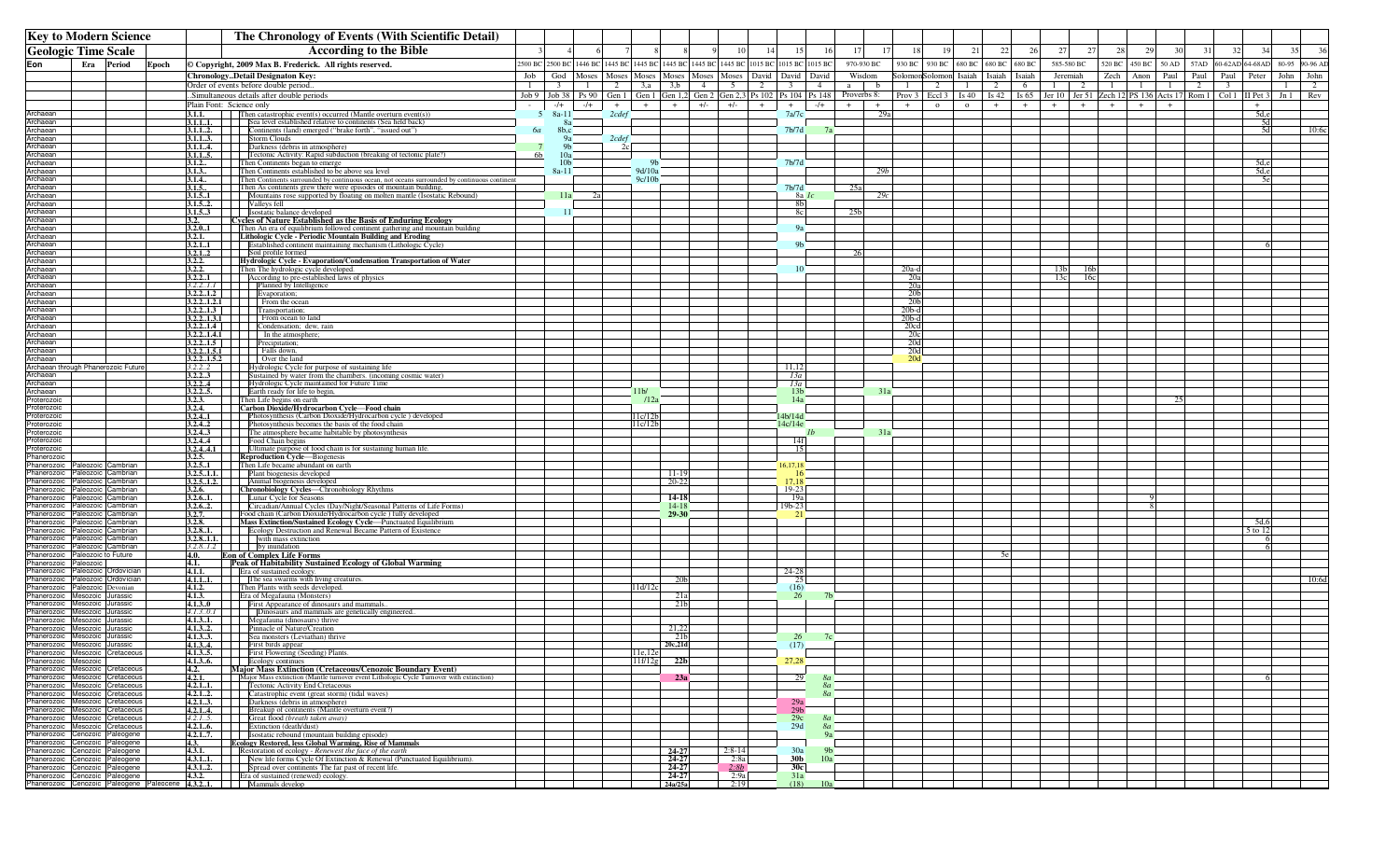| <b>Key to Modern Science</b>                                                                        |                 |                          | The Chronology of Events (With Scientific Detail)                                                                                                                                                                                     |                                                  |                 |              |                                                                      |                       |       |                     |     |                         |           |                    |              |                                                            |              |              |              |                        |                        |                                                                                  |              |               |      |                         |                                          |              |          |
|-----------------------------------------------------------------------------------------------------|-----------------|--------------------------|---------------------------------------------------------------------------------------------------------------------------------------------------------------------------------------------------------------------------------------|--------------------------------------------------|-----------------|--------------|----------------------------------------------------------------------|-----------------------|-------|---------------------|-----|-------------------------|-----------|--------------------|--------------|------------------------------------------------------------|--------------|--------------|--------------|------------------------|------------------------|----------------------------------------------------------------------------------|--------------|---------------|------|-------------------------|------------------------------------------|--------------|----------|
| <b>Geologic Time Scale</b>                                                                          |                 |                          | <b>According to the Bible</b>                                                                                                                                                                                                         |                                                  |                 |              |                                                                      |                       |       | 10                  |     | 15                      | 16        | 17                 | 17           | 18<br>19                                                   | 21           | 22           |              | 27                     | 27                     | 28                                                                               | 29           | 30            | -31  | 32                      | 34                                       | 35           | 36       |
| Eon<br>Era                                                                                          | Period<br>Epoch |                          | © Copyright, 2009 Max B. Frederick. All rights reserved.                                                                                                                                                                              | 2500 BC 2500 BC 1446 BC                          |                 |              | 1445 BC 1445 BC 1445 BC 1445 BC 1445 BC 1015 BC 1015 BC 1015 BC      |                       |       |                     |     |                         |           | 970-930 BC         |              | 930 BC<br>930 BC                                           | 680 BC       | 680 BC       | 680 BC       | 585-580 BC             |                        | 520 BC                                                                           |              | 450 BC 50 AD  | 57AD | 60-62AD 64-68AD         |                                          | 80-95        | 90-96 AD |
|                                                                                                     |                 |                          | ChronologyDetail Designaton Key:                                                                                                                                                                                                      | Job  <br>God                                     | Moses           |              | Moses Moses Moses Moses Moses David David David                      |                       |       |                     |     |                         |           | Wisdom             |              | SolomonSolomon Isaiah                                      |              | Isaiah       | Isaiah       | Jeremiah               |                        | Zech                                                                             |              | Anon Paul     | Paul | Paul                    | Peter                                    | John         | John     |
|                                                                                                     |                 |                          | Order of events before double period                                                                                                                                                                                                  | $\mathbf{1}$<br>$\overline{\mathbf{3}}$          |                 | $\mathbf{1}$ | 2<br>3, a                                                            | 3,b                   | 4     | 5 <sup>5</sup>      | 2   | $\overline{\mathbf{3}}$ | 4         | a a                | $\mathbf{b}$ | 1<br>2                                                     | $\mathbf{1}$ | 2            | 6            | 1                      | 2                      | $\overline{1}$                                                                   | $\mathbf{1}$ | $\frac{1}{2}$ | 2    | $\overline{\mathbf{3}}$ |                                          | $\mathbf{1}$ | 2        |
|                                                                                                     |                 | Plain Font: Science only | .Simultaneous details after double periods                                                                                                                                                                                            | $Job 9$ Job 38 Ps 90<br>$-/+$<br>$\sim$ 10 $\pm$ |                 | $-/+$        | Gen 1 Gen 1 Gen 1,2 Gen 2 Gen 2,3 Ps 102 Ps 104 Ps 148<br>$+$<br>$+$ | $+$                   | $+/-$ | $+/-$               | $+$ | $+$                     | $-/+$     | Proverbs 8:<br>$+$ | $+$          | Prov $3 \mid$ Eccl $3 \mid$ Is $40 \mid$<br>$+$<br>$\circ$ | $\circ$      | Is 42<br>$+$ | Is 65<br>$+$ | $+$                    | $+$                    | Jer 10   Jer 51   Zech 12   PS 136   Acts 17   Rom 1   Col 1   II Pet 3  <br>$+$ | $+$          | $+$           |      |                         | $+$                                      |              | Jn 1 Rev |
| Archaean                                                                                            |                 |                          | <b>3.1.1.</b> Then catastrophic event(s) occurred (Mantle overturn event(s))<br><b>3.1.1.1.</b> Sea level established relative to continents (Sea held back)                                                                          | $8a-11$<br>-5                                    |                 |              | 2cdef                                                                |                       |       |                     |     | 7a/7c                   |           |                    | 29a          |                                                            |              |              |              |                        |                        |                                                                                  |              |               |      |                         | $rac{5d,e}{5d}$                          |              |          |
| Archaean<br>Archaean                                                                                |                 |                          | <b>3.1.12.</b> Continents (land) emerged ("brake forth", "issued out")                                                                                                                                                                | 6а                                               | 8a<br>8b,c      |              |                                                                      |                       |       |                     |     | 7 <sub>b</sub> /7d      |           |                    |              |                                                            |              |              |              |                        |                        |                                                                                  |              |               |      |                         | 5d                                       |              | 10:6c    |
| Archaean                                                                                            |                 |                          | 3.1.1.3. Storm Clouds                                                                                                                                                                                                                 |                                                  | 98              |              | 2cdef                                                                |                       |       |                     |     |                         |           |                    |              |                                                            |              |              |              |                        |                        |                                                                                  |              |               |      |                         |                                          |              |          |
| Archaean<br>Archaean                                                                                |                 |                          | <b>3.1.1.4.</b>     Darkness (debris in atmosphere)<br><b>3.1.1.5.</b> Tectonic Activity: Rapid subduction (breaking of tectonic plate?)                                                                                              | 6 <sub>b</sub>                                   | -91<br>10a      |              | 2c                                                                   |                       |       |                     |     |                         |           |                    |              |                                                            |              |              |              |                        |                        |                                                                                  |              |               |      |                         |                                          |              |          |
| Archaean                                                                                            |                 |                          | 3.1.2. Then Continents began to emerge                                                                                                                                                                                                |                                                  | 10 <sub>b</sub> |              |                                                                      |                       |       |                     |     | 7 <sub>b</sub> /7d      |           |                    |              |                                                            |              |              |              |                        |                        |                                                                                  |              |               |      |                         | $\frac{5d,e}{5d,e}$                      |              |          |
| rchaean<br><b>\rchaean</b>                                                                          |                 | 3.1.3                    | Then Continents established to be above sea level<br><b>3.1.4</b> Then Continents surrounded by continuous ocean, not oceans surrounded by continuous continent                                                                       |                                                  | 8a-11           |              | 9d/10a<br>9c/10b                                                     |                       |       |                     |     |                         |           |                    | 29b          |                                                            |              |              |              |                        |                        |                                                                                  |              |               |      |                         |                                          |              |          |
| rchaean                                                                                             |                 | 3.1.5                    | Then As continents grew there were episodes of mountain building,                                                                                                                                                                     |                                                  |                 |              |                                                                      |                       |       |                     |     | 7 <sub>b</sub> /7d      |           | 25a                |              |                                                            |              |              |              |                        |                        |                                                                                  |              |               |      |                         |                                          |              |          |
| Archaean<br>Archaean                                                                                |                 |                          | <b>3.1.51</b>     Mountains rose supported by floating on molten mantle (Isostatic Rebound)                                                                                                                                           |                                                  | 11a             |              |                                                                      |                       |       |                     |     | 8a Ic<br>8b             |           |                    | 29c          |                                                            |              |              |              |                        |                        |                                                                                  |              |               |      |                         |                                          |              |          |
| Archaean                                                                                            |                 |                          | 3.1.5.3 Isostatic balance developed                                                                                                                                                                                                   |                                                  | -11             |              |                                                                      |                       |       |                     |     | 8c                      |           | 25 <sub>b</sub>    |              |                                                            |              |              |              |                        |                        |                                                                                  |              |               |      |                         |                                          |              |          |
| Archaean<br>Archaean                                                                                |                 |                          | <b>Cycles of Nature Established as the Basis of Enduring Ecology</b><br>3.2.01 Then An era of equilibrium followed continent gathering and mountain building                                                                          |                                                  |                 |              |                                                                      |                       |       |                     |     | 9a                      |           |                    |              |                                                            |              |              |              |                        |                        |                                                                                  |              |               |      |                         |                                          |              |          |
| Archaean                                                                                            |                 | 3.2.1.                   | Lithologic Cycle - Periodic Mountain Building and Eroding                                                                                                                                                                             |                                                  |                 |              |                                                                      |                       |       |                     |     |                         |           |                    |              |                                                            |              |              |              |                        |                        |                                                                                  |              |               |      |                         |                                          |              |          |
| Archaean<br>Archaean                                                                                |                 |                          | 3.2.11       Established continent maintaining mechanism (Lithologic Cycle)<br>3.2.1.2 Soil profile formed                                                                                                                            |                                                  |                 |              |                                                                      |                       |       |                     |     |                         |           |                    |              |                                                            |              |              |              |                        |                        |                                                                                  |              |               |      |                         |                                          |              |          |
| rchaean                                                                                             |                 |                          | Hydrologic Cycle - Evaporation/Condensation Transportation of Water                                                                                                                                                                   |                                                  |                 |              |                                                                      |                       |       |                     |     |                         |           |                    |              |                                                            |              |              |              |                        |                        |                                                                                  |              |               |      |                         |                                          |              |          |
| Archaean<br>rchaean                                                                                 |                 |                          |                                                                                                                                                                                                                                       |                                                  |                 |              |                                                                      |                       |       |                     |     | 10                      |           |                    |              | $20a-d$<br>20a                                             |              |              |              | 13 <sub>b</sub><br>13c | 16 <sub>b</sub><br>16c |                                                                                  |              |               |      |                         |                                          |              |          |
| Archaean                                                                                            |                 |                          |                                                                                                                                                                                                                                       |                                                  |                 |              |                                                                      |                       |       |                     |     |                         |           |                    |              | 20a                                                        |              |              |              |                        |                        |                                                                                  |              |               |      |                         |                                          |              |          |
| rchaean،<br>Archaean                                                                                |                 |                          |                                                                                                                                                                                                                                       |                                                  |                 |              |                                                                      |                       |       |                     |     |                         |           |                    |              | 20b<br>20 <sub>b</sub>                                     |              |              |              |                        |                        |                                                                                  |              |               |      |                         |                                          |              |          |
| Archaean                                                                                            |                 |                          | Antario (The The Department of the State of the State 1, 2, 2, 2, 1<br>1.2, 2, 1. Then The hydrologic cycle developed.<br>3.2, 2, 1. According to presstabilished laws of physics<br>3.2, 2, 1.2, 1. From the comparation:<br>3.2, 2, |                                                  |                 |              |                                                                      |                       |       |                     |     |                         |           |                    |              | $20b-d$                                                    |              |              |              |                        |                        |                                                                                  |              |               |      |                         |                                          |              |          |
| Archaean<br>Archaean                                                                                |                 |                          | 3.2.2.1.3.1 From ocean to land<br>$3.2.21.4$ Condensation; dew, rain                                                                                                                                                                  |                                                  |                 |              |                                                                      |                       |       |                     |     |                         |           |                    |              | $20b-d$<br>20cd                                            |              |              |              |                        |                        |                                                                                  |              |               |      |                         |                                          |              |          |
| Archaean                                                                                            |                 |                          | <b>3.2.2.1.4.1</b> In the atmosphere                                                                                                                                                                                                  |                                                  |                 |              |                                                                      |                       |       |                     |     |                         |           |                    |              | 20c                                                        |              |              |              |                        |                        |                                                                                  |              |               |      |                         |                                          |              |          |
| Archaean<br>Archaean                                                                                |                 |                          | <b>3.2.21.5</b> Precipitation;<br><b>3.2.2.1.5.1</b> Falls down,                                                                                                                                                                      |                                                  |                 |              |                                                                      |                       |       |                     |     |                         |           |                    |              | 20d<br>20d                                                 |              |              |              |                        |                        |                                                                                  |              |               |      |                         |                                          |              |          |
| Archaean                                                                                            |                 |                          | <b>3.2.2.1.5.2</b> Over the land                                                                                                                                                                                                      |                                                  |                 |              |                                                                      |                       |       |                     |     |                         |           |                    |              | 20 <sub>d</sub>                                            |              |              |              |                        |                        |                                                                                  |              |               |      |                         |                                          |              |          |
| Archaean through Phanerozoic Future<br>Archaean                                                     |                 | 3.2.22<br>3.2.23         | Hydrologic Cycle for purpose of sustaining life<br>Sustained by water from the chambers. (incoming cosmic water)                                                                                                                      |                                                  |                 |              |                                                                      |                       |       |                     |     | -11.12<br>13a           |           |                    |              |                                                            |              |              |              |                        |                        |                                                                                  |              |               |      |                         |                                          |              |          |
| Archaean                                                                                            |                 | 3.2.24                   | Hydrologic Cycle maintained for Future Time                                                                                                                                                                                           |                                                  |                 |              |                                                                      |                       |       |                     |     | 13a                     |           |                    |              |                                                            |              |              |              |                        |                        |                                                                                  |              |               |      |                         |                                          |              |          |
| Archaean<br>Proterozoic                                                                             |                 | 3.2.25.<br>3.2.3.        | Earth ready for life to begin,<br>Then Life begins on earth                                                                                                                                                                           |                                                  |                 |              | 11 <sub>b</sub><br>12a                                               |                       |       |                     |     | 13 <sub>b</sub><br>14a  |           |                    | 31a          |                                                            |              |              |              |                        |                        |                                                                                  |              |               |      |                         |                                          |              |          |
| Proterozoic                                                                                         |                 | 3.2.4.                   | Carbon Dioxide/Hydrocarbon Cycle-Food chain                                                                                                                                                                                           |                                                  |                 |              |                                                                      |                       |       |                     |     |                         |           |                    |              |                                                            |              |              |              |                        |                        |                                                                                  |              |               |      |                         |                                          |              |          |
| Proterozoic<br>Proterozoic                                                                          |                 |                          | <b>3.2.41</b>   Photosynthesis (Carbon Dioxide/Hydrocarbon cycle) developed<br>3.2.42 Photosynthesis becomes the basis of the food chain                                                                                              |                                                  |                 |              | 11c/12<br>11c/12b                                                    |                       |       |                     |     | 4b/14d<br>14c/14e       |           |                    |              |                                                            |              |              |              |                        |                        |                                                                                  |              |               |      |                         |                                          |              |          |
| Proterozoic                                                                                         |                 |                          | 3.2.43 The atmosphere became habitable by photosynthesis                                                                                                                                                                              |                                                  |                 |              |                                                                      |                       |       |                     |     |                         |           |                    | 31a          |                                                            |              |              |              |                        |                        |                                                                                  |              |               |      |                         |                                          |              |          |
| 'roterozoic<br>'roterozoic                                                                          |                 | 3.2.44                   | Food Chain begins<br><b>3.2.4.4.1</b>   Ultimate purpose of food chain is for sustaining human life.                                                                                                                                  |                                                  |                 |              |                                                                      |                       |       |                     |     | 14f                     |           |                    |              |                                                            |              |              |              |                        |                        |                                                                                  |              |               |      |                         |                                          |              |          |
| hanerozoic                                                                                          |                 |                          | 3.2.5. Reproduction Cycle—Biogenesis                                                                                                                                                                                                  |                                                  |                 |              |                                                                      |                       |       |                     |     |                         |           |                    |              |                                                            |              |              |              |                        |                        |                                                                                  |              |               |      |                         |                                          |              |          |
| hanerozoic Paleozoic Cambrian<br>hanerozoic Paleozoic Cambrian                                      |                 | 3.2.51                   | Then Life became abundant on earth                                                                                                                                                                                                    |                                                  |                 |              |                                                                      |                       |       |                     |     | 16,17,18<br>-16         |           |                    |              |                                                            |              |              |              |                        |                        |                                                                                  |              |               |      |                         |                                          |              |          |
| hanerozoic Paleozoic Cambrian                                                                       |                 |                          | <b>3.2.5.1.1.</b> Plant biogenesis developed<br>3.2.5.1.2. Animal biogenesis developed                                                                                                                                                |                                                  |                 |              |                                                                      | $\frac{11-19}{20-22}$ |       |                     |     | 17.18                   |           |                    |              |                                                            |              |              |              |                        |                        |                                                                                  |              |               |      |                         |                                          |              |          |
| hanerozoic Paleozoic Cambrian<br>hanerozoic Paleozoic Cambrian                                      |                 |                          | <b>3.2.6.</b> Chronobiology Cycles—Chronobiology Rhythms<br><b>3.2.61.</b> [Lunar Cycle for Seasons<br><b>3.2.62.</b> [Circadian/Annual Cycles (Day/Night/Seasonal Patterns of Life Forms)                                            |                                                  |                 |              |                                                                      | 14-18                 |       |                     |     | $19-23$<br>19a          |           |                    |              |                                                            |              |              |              |                        |                        |                                                                                  |              |               |      |                         |                                          |              |          |
| 'hanerozoic Paleozoic Cambrian                                                                      |                 |                          |                                                                                                                                                                                                                                       |                                                  |                 |              |                                                                      | 14-18                 |       |                     |     | 19b-23                  |           |                    |              |                                                            |              |              |              |                        |                        |                                                                                  |              |               |      |                         |                                          |              |          |
| hanerozoic Paleozoic Cambrian<br>hanerozoic Paleozoic Cambrian                                      |                 |                          | 3.2.7. Food chain (Carbon Dioxide/Hydrocarbon cycle) fully developed<br>3.2.8. Mass Extinction/Sustained Ecology Cycle—Punctuated Equilibrium                                                                                         |                                                  |                 |              |                                                                      | 29-30                 |       |                     |     | -21                     |           |                    |              |                                                            |              |              |              |                        |                        |                                                                                  |              |               |      |                         |                                          |              |          |
| hanerozoic Paleozoic Cambrian                                                                       |                 |                          | <b>3.2.8.1.</b> Ecology Destruction and Renewal Became Pattern of Existence                                                                                                                                                           |                                                  |                 |              |                                                                      |                       |       |                     |     |                         |           |                    |              |                                                            |              |              |              |                        |                        |                                                                                  |              |               |      |                         | $rac{5d.6}{5 \underline{\text{ to } 1}}$ |              |          |
| Phanerozoic Paleozoic Cambrian<br>Phanerozoic Paleozoic Cambrian                                    |                 |                          | $3.2.81.1$ . with mass extinction<br>$3.2.81.2$ by inundation                                                                                                                                                                         |                                                  |                 |              |                                                                      |                       |       |                     |     |                         |           |                    |              |                                                            |              |              |              |                        |                        |                                                                                  |              |               |      |                         | $\sqrt{2}$                               |              |          |
| hanerozoic Paleozoic to Future<br>hanerozoic Paleozoic                                              |                 | 4.0.<br>4.1.             | <b>Eon of Complex Life Forms</b><br>Peak of Habitability Sustained Ecology of Global Warming                                                                                                                                          |                                                  |                 |              |                                                                      |                       |       |                     |     |                         |           |                    |              |                                                            |              |              |              |                        |                        |                                                                                  |              |               |      |                         |                                          |              |          |
| hanerozoic Paleozoic Ordovician                                                                     |                 | 4.1.1.                   | Era of sustained ecology.                                                                                                                                                                                                             |                                                  |                 |              |                                                                      |                       |       |                     |     | $24 - 28$               |           |                    |              |                                                            |              |              |              |                        |                        |                                                                                  |              |               |      |                         |                                          |              |          |
| Phanerozoic Paleozoic Ordovician<br>Phanerozoic Paleozoic Devonian                                  |                 |                          | <b>4.1.1.1.</b> The sea swarms with living creatures.<br>4.1.2. Then Plants with seeds developed.                                                                                                                                     |                                                  |                 |              | 11d/12c                                                              |                       |       |                     |     | 25<br>(16)              |           |                    |              |                                                            |              |              |              |                        |                        |                                                                                  |              |               |      |                         |                                          |              | 10:6d    |
| Phanerozoic Mesozoic Jurassic                                                                       |                 | 4.1.3.                   | Era of Megafauna (Monsters)                                                                                                                                                                                                           |                                                  |                 |              |                                                                      |                       |       |                     |     | 26                      |           |                    |              |                                                            |              |              |              |                        |                        |                                                                                  |              |               |      |                         |                                          |              |          |
| hanerozoic Mesozoic Jurassic<br>Phanerozoic Mesozoic Jurassic                                       |                 |                          | <b>4.1.3.0</b> First Appearance of dinosaurs and mammals.<br>4.1.3.0.1       Dinosaurs and mammals are genetically engineered                                                                                                         |                                                  |                 |              |                                                                      |                       |       |                     |     |                         |           |                    |              |                                                            |              |              |              |                        |                        |                                                                                  |              |               |      |                         |                                          |              |          |
| Phanerozoic Mesozoic Jurassic                                                                       |                 |                          | 4.1.3.1. Megafauna (dinosaurs) thrive                                                                                                                                                                                                 |                                                  |                 |              |                                                                      |                       |       |                     |     |                         |           |                    |              |                                                            |              |              |              |                        |                        |                                                                                  |              |               |      |                         |                                          |              |          |
| Phanerozoic Mesozoic Jurassic<br>Phanerozoic Mesozoic Jurassic                                      |                 |                          | 4.1.32. Pinnacle of Nature/Creation<br><b>4.1.33.</b> Sea monsters (Leviathan) thrive                                                                                                                                                 |                                                  |                 |              |                                                                      | 21,22<br>21b          |       |                     |     | -26                     |           |                    |              |                                                            |              |              |              |                        |                        |                                                                                  |              |               |      |                         |                                          |              |          |
| Phanerozoic Mesozoic Jurassic                                                                       |                 |                          | 4.1.34. First birds appear                                                                                                                                                                                                            |                                                  |                 |              |                                                                      | 20c,21d               |       |                     |     | (17)                    |           |                    |              |                                                            |              |              |              |                        |                        |                                                                                  |              |               |      |                         |                                          |              |          |
| Phanerozoic Mesozoic Cretaceous<br>Phanerozoic Mesozoic                                             |                 |                          | First Flowering (Seeding) Plants.<br>4.1.3.6. Ecology continues                                                                                                                                                                       |                                                  |                 |              | 11f/12g                                                              | 22 <sub>b</sub>       |       |                     |     | 27,28                   |           |                    |              |                                                            |              |              |              |                        |                        |                                                                                  |              |               |      |                         |                                          |              |          |
| Phanerozoic Mesozoic Cretaceous                                                                     |                 | 4.2.                     | <b>Major Mass Extinction (Cretaceous/Cenozoic Boundary Event)</b>                                                                                                                                                                     |                                                  |                 |              |                                                                      |                       |       |                     |     |                         |           |                    |              |                                                            |              |              |              |                        |                        |                                                                                  |              |               |      |                         |                                          |              |          |
| Phanerozoic Mesozoic Cretaceous<br>Phanerozoic Mesozoic Cretaceous                                  |                 | 4.2.1.                   | Major Mass extinction (Mantle turnover event Lithologic Cycle Turnover with extinction)                                                                                                                                               |                                                  |                 |              |                                                                      | 23a                   |       |                     |     | 29                      | -8a<br>8a |                    |              |                                                            |              |              |              |                        |                        |                                                                                  |              |               |      |                         |                                          |              |          |
| Phanerozoic Mesozoic Cretaceous                                                                     |                 |                          | <b>4.2.1.1.</b> Tectonic Activity End Cretaceous<br><b>4.2.11.</b> Tectonic Activity End Cretaceous<br><b>4.2.12.</b> Darkness (debris in atmosphere)<br><b>4.2.14.</b> Breakup of continents (Mantle overturn event?)                |                                                  |                 |              |                                                                      |                       |       |                     |     |                         | 8a        |                    |              |                                                            |              |              |              |                        |                        |                                                                                  |              |               |      |                         |                                          |              |          |
| Phanerozoic Mesozoic Cretaceous<br>Phanerozoic Mesozoic Cretaceous                                  |                 |                          |                                                                                                                                                                                                                                       |                                                  |                 |              |                                                                      |                       |       |                     |     | 29a<br>29 <sub>b</sub>  |           |                    |              |                                                            |              |              |              |                        |                        |                                                                                  |              |               |      |                         |                                          |              |          |
| Phanerozoic Mesozoic Cretaceous                                                                     |                 |                          |                                                                                                                                                                                                                                       |                                                  |                 |              |                                                                      |                       |       |                     |     | 29c                     | 8a        |                    |              |                                                            |              |              |              |                        |                        |                                                                                  |              |               |      |                         |                                          |              |          |
| Phanerozoic Mesozoic Cretaceous<br>Phanerozoic Cenozoic Paleogene                                   |                 |                          | <b>4.2.15.</b> Great flood (breath taken away)<br><b>4.2.16.</b> Great flood (breath taken away)<br><b>4.2.16.</b> Extinction (death/dust)<br><b>4.2.17.</b> Isostatic rebound (mountain building episode)                            |                                                  |                 |              |                                                                      |                       |       |                     |     | 29d                     | 8a<br>9a  |                    |              |                                                            |              |              |              |                        |                        |                                                                                  |              |               |      |                         |                                          |              |          |
| Phanerozoic Cenozoic Paleogene                                                                      |                 |                          | 4.3. Ecology Restored, less Global Warming, Rise of Mammals                                                                                                                                                                           |                                                  |                 |              |                                                                      |                       |       |                     |     |                         |           |                    |              |                                                            |              |              |              |                        |                        |                                                                                  |              |               |      |                         |                                          |              |          |
| Phanerozoic Cenozoic Paleogene<br>Phanerozoic Cenozoic Paleogene                                    |                 | 4.3.1.                   | Restoration of ecology - Renewest the face of the earth<br><b>4.3.11.</b> New life forms Cycle Of Extinction & Renewal (Punctuated Equilibrium).                                                                                      |                                                  |                 |              |                                                                      | 24-27<br>24-27        |       | $2:8-14$<br>2:8a    |     | 30a<br>30 <sub>b</sub>  | 10a       |                    |              |                                                            |              |              |              |                        |                        |                                                                                  |              |               |      |                         |                                          |              |          |
| Phanerozoic Cenozoic Paleogene                                                                      |                 |                          | 4.3.12. Spread over continents The far past of recent life.                                                                                                                                                                           |                                                  |                 |              |                                                                      | 24-27                 |       | 2:8b                |     | 30c                     |           |                    |              |                                                            |              |              |              |                        |                        |                                                                                  |              |               |      |                         |                                          |              |          |
| Phanerozoic Cenozoic Paleogene<br>Phanerozoic Cenozoic Paleogene Paleocene 4.3.2.1. Mammals develop |                 |                          | <b>4.3.2.</b> Era of sustained (renewed) ecology.                                                                                                                                                                                     |                                                  |                 |              |                                                                      | 24-27<br>24a/25a      |       | $\frac{2:9a}{2:19}$ |     | 31a<br>(18)             | 10a       |                    |              |                                                            |              |              |              |                        |                        |                                                                                  |              |               |      |                         |                                          |              |          |
|                                                                                                     |                 |                          |                                                                                                                                                                                                                                       |                                                  |                 |              |                                                                      |                       |       |                     |     |                         |           |                    |              |                                                            |              |              |              |                        |                        |                                                                                  |              |               |      |                         |                                          |              |          |